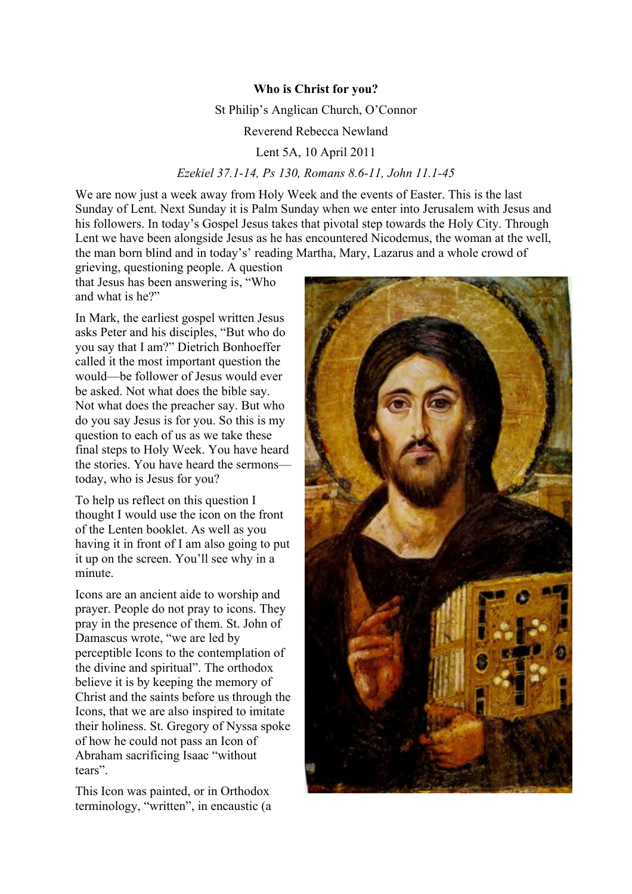## **Who is Christ for you?**

St Philip's Anglican Church, O'Connor

Reverend Rebecca Newland

Lent 5A, 10 April 2011

## *Ezekiel 37.1-14, Ps 130, Romans 8.6-11, John 11.1-45*

We are now just a week away from Holy Week and the events of Easter. This is the last Sunday of Lent. Next Sunday it is Palm Sunday when we enter into Jerusalem with Jesus and his followers. In today's Gospel Jesus takes that pivotal step towards the Holy City. Through Lent we have been alongside Jesus as he has encountered Nicodemus, the woman at the well, the man born blind and in today's' reading Martha, Mary, Lazarus and a whole crowd of

grieving, questioning people. A question that Jesus has been answering is, "Who and what is he?"

In Mark, the earliest gospel written Jesus asks Peter and his disciples, "But who do you say that I am?" Dietrich Bonhoeffer called it the most important question the would—be follower of Jesus would ever be asked. Not what does the bible say. Not what does the preacher say. But who do you say Jesus is for you. So this is my question to each of us as we take these final steps to Holy Week. You have heard the stories. You have heard the sermons today, who is Jesus for you?

To help us reflect on this question I thought I would use the icon on the front of the Lenten booklet. As well as you having it in front of I am also going to put it up on the screen. You'll see why in a minute.

Icons are an ancient aide to worship and prayer. People do not pray to icons. They pray in the presence of them. St. John of Damascus wrote, "we are led by perceptible Icons to the contemplation of the divine and spiritual". The orthodox believe it is by keeping the memory of Christ and the saints before us through the Icons, that we are also inspired to imitate their holiness. St. Gregory of Nyssa spoke of how he could not pass an Icon of Abraham sacrificing Isaac "without tears".

This Icon was painted, or in Orthodox terminology, "written", in encaustic (a